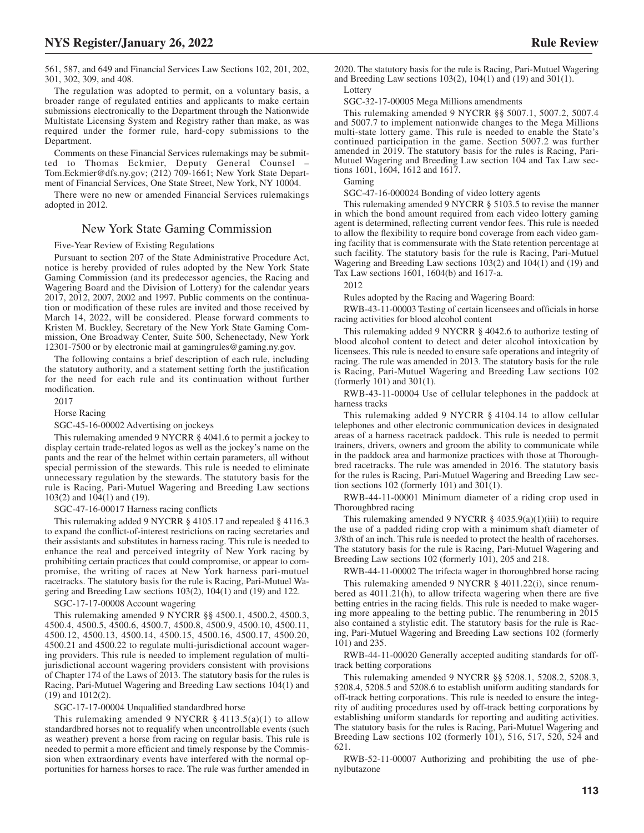The regulation was adopted to permit, on a voluntary basis, a broader range of regulated entities and applicants to make certain submissions electronically to the Department through the Nationwide Multistate Licensing System and Registry rather than make, as was required under the former rule, hard-copy submissions to the Department.

Comments on these Financial Services rulemakings may be submitted to Thomas Eckmier, Deputy General Counsel – Tom.Eckmier@dfs.ny.gov; (212) 709-1661; New York State Department of Financial Services, One State Street, New York, NY 10004.

There were no new or amended Financial Services rulemakings adopted in 2012.

## New York State Gaming Commission

Five-Year Review of Existing Regulations

Pursuant to section 207 of the State Administrative Procedure Act, notice is hereby provided of rules adopted by the New York State Gaming Commission (and its predecessor agencies, the Racing and Wagering Board and the Division of Lottery) for the calendar years 2017, 2012, 2007, 2002 and 1997. Public comments on the continuation or modification of these rules are invited and those received by March 14, 2022, will be considered. Please forward comments to Kristen M. Buckley, Secretary of the New York State Gaming Commission, One Broadway Center, Suite 500, Schenectady, New York 12301-7500 or by electronic mail at gamingrules@gaming.ny.gov.

The following contains a brief description of each rule, including the statutory authority, and a statement setting forth the justification for the need for each rule and its continuation without further modification.

## 2017

Horse Racing

SGC-45-16-00002 Advertising on jockeys

This rulemaking amended 9 NYCRR § 4041.6 to permit a jockey to display certain trade-related logos as well as the jockey's name on the pants and the rear of the helmet within certain parameters, all without special permission of the stewards. This rule is needed to eliminate unnecessary regulation by the stewards. The statutory basis for the rule is Racing, Pari-Mutuel Wagering and Breeding Law sections  $103(2)$  and  $104(1)$  and  $(19)$ .

SGC-47-16-00017 Harness racing conflicts

This rulemaking added 9 NYCRR § 4105.17 and repealed § 4116.3 to expand the conflict-of-interest restrictions on racing secretaries and their assistants and substitutes in harness racing. This rule is needed to enhance the real and perceived integrity of New York racing by prohibiting certain practices that could compromise, or appear to compromise, the writing of races at New York harness pari-mutuel racetracks. The statutory basis for the rule is Racing, Pari-Mutuel Wagering and Breeding Law sections 103(2), 104(1) and (19) and 122.

SGC-17-17-00008 Account wagering

This rulemaking amended 9 NYCRR §§ 4500.1, 4500.2, 4500.3, 4500.4, 4500.5, 4500.6, 4500.7, 4500.8, 4500.9, 4500.10, 4500.11, 4500.12, 4500.13, 4500.14, 4500.15, 4500.16, 4500.17, 4500.20, 4500.21 and 4500.22 to regulate multi-jurisdictional account wagering providers. This rule is needed to implement regulation of multijurisdictional account wagering providers consistent with provisions of Chapter 174 of the Laws of 2013. The statutory basis for the rules is Racing, Pari-Mutuel Wagering and Breeding Law sections 104(1) and (19) and 1012(2).

SGC-17-17-00004 Unqualified standardbred horse

This rulemaking amended 9 NYCRR  $\S$  4113.5(a)(1) to allow standardbred horses not to requalify when uncontrollable events (such as weather) prevent a horse from racing on regular basis. This rule is needed to permit a more efficient and timely response by the Commission when extraordinary events have interfered with the normal opportunities for harness horses to race. The rule was further amended in

SGC-32-17-00005 Mega Millions amendments

This rulemaking amended 9 NYCRR §§ 5007.1, 5007.2, 5007.4 and 5007.7 to implement nationwide changes to the Mega Millions multi-state lottery game. This rule is needed to enable the State's continued participation in the game. Section 5007.2 was further amended in 2019. The statutory basis for the rules is Racing, Pari-Mutuel Wagering and Breeding Law section 104 and Tax Law sections 1601, 1604, 1612 and 1617.

Gaming

SGC-47-16-000024 Bonding of video lottery agents

This rulemaking amended 9 NYCRR § 5103.5 to revise the manner in which the bond amount required from each video lottery gaming agent is determined, reflecting current vendor fees. This rule is needed to allow the flexibility to require bond coverage from each video gaming facility that is commensurate with the State retention percentage at such facility. The statutory basis for the rule is Racing, Pari-Mutuel Wagering and Breeding Law sections 103(2) and 104(1) and (19) and Tax Law sections 1601, 1604(b) and 1617-a.

2012

Rules adopted by the Racing and Wagering Board:

RWB-43-11-00003 Testing of certain licensees and officials in horse racing activities for blood alcohol content

This rulemaking added 9 NYCRR § 4042.6 to authorize testing of blood alcohol content to detect and deter alcohol intoxication by licensees. This rule is needed to ensure safe operations and integrity of racing. The rule was amended in 2013. The statutory basis for the rule is Racing, Pari-Mutuel Wagering and Breeding Law sections 102 (formerly 101) and 301(1).

RWB-43-11-00004 Use of cellular telephones in the paddock at harness tracks

This rulemaking added 9 NYCRR § 4104.14 to allow cellular telephones and other electronic communication devices in designated areas of a harness racetrack paddock. This rule is needed to permit trainers, drivers, owners and groom the ability to communicate while in the paddock area and harmonize practices with those at Thoroughbred racetracks. The rule was amended in 2016. The statutory basis for the rules is Racing, Pari-Mutuel Wagering and Breeding Law section sections 102 (formerly 101) and 301(1).

RWB-44-11-00001 Minimum diameter of a riding crop used in Thoroughbred racing

This rulemaking amended 9 NYCRR  $\S$  4035.9(a)(1)(iii) to require the use of a padded riding crop with a minimum shaft diameter of 3/8th of an inch. This rule is needed to protect the health of racehorses. The statutory basis for the rule is Racing, Pari-Mutuel Wagering and Breeding Law sections 102 (formerly 101), 205 and 218.

RWB-44-11-00002 The trifecta wager in thoroughbred horse racing

This rulemaking amended 9 NYCRR § 4011.22(i), since renumbered as 4011.21(h), to allow trifecta wagering when there are five betting entries in the racing fields. This rule is needed to make wagering more appealing to the betting public. The renumbering in 2015 also contained a stylistic edit. The statutory basis for the rule is Racing, Pari-Mutuel Wagering and Breeding Law sections 102 (formerly 101) and 235.

RWB-44-11-00020 Generally accepted auditing standards for offtrack betting corporations

This rulemaking amended 9 NYCRR §§ 5208.1, 5208.2, 5208.3, 5208.4, 5208.5 and 5208.6 to establish uniform auditing standards for off-track betting corporations. This rule is needed to ensure the integrity of auditing procedures used by off-track betting corporations by establishing uniform standards for reporting and auditing activities. The statutory basis for the rules is Racing, Pari-Mutuel Wagering and Breeding Law sections 102 (formerly 101), 516, 517, 520, 524 and 621.

RWB-52-11-00007 Authorizing and prohibiting the use of phenylbutazone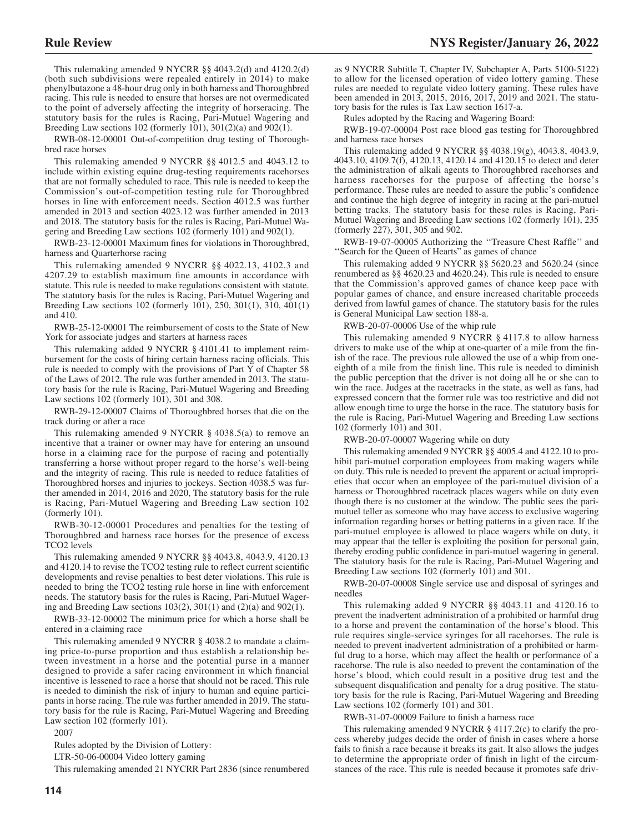This rulemaking amended 9 NYCRR §§ 4043.2(d) and 4120.2(d) (both such subdivisions were repealed entirely in 2014) to make phenylbutazone a 48-hour drug only in both harness and Thoroughbred racing. This rule is needed to ensure that horses are not overmedicated to the point of adversely affecting the integrity of horseracing. The statutory basis for the rules is Racing, Pari-Mutuel Wagering and Breeding Law sections 102 (formerly 101),  $301(2)(a)$  and  $902(1)$ .

RWB-08-12-00001 Out-of-competition drug testing of Thoroughbred race horses

This rulemaking amended 9 NYCRR §§ 4012.5 and 4043.12 to include within existing equine drug-testing requirements racehorses that are not formally scheduled to race. This rule is needed to keep the Commission's out-of-competition testing rule for Thoroughbred horses in line with enforcement needs. Section 4012.5 was further amended in 2013 and section 4023.12 was further amended in 2013 and 2018. The statutory basis for the rules is Racing, Pari-Mutuel Wagering and Breeding Law sections 102 (formerly 101) and 902(1).

RWB-23-12-00001 Maximum fines for violations in Thoroughbred, harness and Quarterhorse racing

This rulemaking amended 9 NYCRR §§ 4022.13, 4102.3 and 4207.29 to establish maximum fine amounts in accordance with statute. This rule is needed to make regulations consistent with statute. The statutory basis for the rules is Racing, Pari-Mutuel Wagering and Breeding Law sections 102 (formerly 101), 250, 301(1), 310, 401(1) and 410.

RWB-25-12-00001 The reimbursement of costs to the State of New York for associate judges and starters at harness races

This rulemaking added 9 NYCRR § 4101.41 to implement reimbursement for the costs of hiring certain harness racing officials. This rule is needed to comply with the provisions of Part  $\overline{Y}$  of Chapter 58 of the Laws of 2012. The rule was further amended in 2013. The statutory basis for the rule is Racing, Pari-Mutuel Wagering and Breeding Law sections 102 (formerly 101), 301 and 308.

RWB-29-12-00007 Claims of Thoroughbred horses that die on the track during or after a race

This rulemaking amended 9 NYCRR § 4038.5(a) to remove an incentive that a trainer or owner may have for entering an unsound horse in a claiming race for the purpose of racing and potentially transferring a horse without proper regard to the horse's well-being and the integrity of racing. This rule is needed to reduce fatalities of Thoroughbred horses and injuries to jockeys. Section 4038.5 was further amended in 2014, 2016 and 2020, The statutory basis for the rule is Racing, Pari-Mutuel Wagering and Breeding Law section 102 (formerly 101).

RWB-30-12-00001 Procedures and penalties for the testing of Thoroughbred and harness race horses for the presence of excess TCO2 levels

This rulemaking amended 9 NYCRR §§ 4043.8, 4043.9, 4120.13 and 4120.14 to revise the TCO2 testing rule to reflect current scientific developments and revise penalties to best deter violations. This rule is needed to bring the TCO2 testing rule horse in line with enforcement needs. The statutory basis for the rules is Racing, Pari-Mutuel Wagering and Breeding Law sections 103(2), 301(1) and (2)(a) and 902(1).

RWB-33-12-00002 The minimum price for which a horse shall be entered in a claiming race

This rulemaking amended 9 NYCRR § 4038.2 to mandate a claiming price-to-purse proportion and thus establish a relationship between investment in a horse and the potential purse in a manner designed to provide a safer racing environment in which financial incentive is lessened to race a horse that should not be raced. This rule is needed to diminish the risk of injury to human and equine participants in horse racing. The rule was further amended in 2019. The statutory basis for the rule is Racing, Pari-Mutuel Wagering and Breeding Law section 102 (formerly 101).

2007

Rules adopted by the Division of Lottery:

LTR-50-06-00004 Video lottery gaming

This rulemaking amended 21 NYCRR Part 2836 (since renumbered

as 9 NYCRR Subtitle T, Chapter IV, Subchapter A, Parts 5100-5122) to allow for the licensed operation of video lottery gaming. These rules are needed to regulate video lottery gaming. These rules have been amended in 2013, 2015, 2016, 2017, 2019 and 2021. The statutory basis for the rules is Tax Law section 1617-a.

Rules adopted by the Racing and Wagering Board:

RWB-19-07-00004 Post race blood gas testing for Thoroughbred and harness race horses

This rulemaking added 9 NYCRR §§ 4038.19(g), 4043.8, 4043.9, 4043.10, 4109.7(f), 4120.13, 4120.14 and 4120.15 to detect and deter the administration of alkali agents to Thoroughbred racehorses and harness racehorses for the purpose of affecting the horse's performance. These rules are needed to assure the public's confidence and continue the high degree of integrity in racing at the pari-mutuel betting tracks. The statutory basis for these rules is Racing, Pari-Mutuel Wagering and Breeding Law sections 102 (formerly 101), 235 (formerly 227), 301, 305 and 902.

RWB-19-07-00005 Authorizing the ''Treasure Chest Raffle'' and ''Search for the Queen of Hearts" as games of chance

This rulemaking added 9 NYCRR §§ 5620.23 and 5620.24 (since renumbered as §§ 4620.23 and 4620.24). This rule is needed to ensure that the Commission's approved games of chance keep pace with popular games of chance, and ensure increased charitable proceeds derived from lawful games of chance. The statutory basis for the rules is General Municipal Law section 188-a.

RWB-20-07-00006 Use of the whip rule

This rulemaking amended 9 NYCRR § 4117.8 to allow harness drivers to make use of the whip at one-quarter of a mile from the finish of the race. The previous rule allowed the use of a whip from oneeighth of a mile from the finish line. This rule is needed to diminish the public perception that the driver is not doing all he or she can to win the race. Judges at the racetracks in the state, as well as fans, had expressed concern that the former rule was too restrictive and did not allow enough time to urge the horse in the race. The statutory basis for the rule is Racing, Pari-Mutuel Wagering and Breeding Law sections 102 (formerly 101) and 301.

RWB-20-07-00007 Wagering while on duty

This rulemaking amended 9 NYCRR §§ 4005.4 and 4122.10 to prohibit pari-mutuel corporation employees from making wagers while on duty. This rule is needed to prevent the apparent or actual improprieties that occur when an employee of the pari-mutuel division of a harness or Thoroughbred racetrack places wagers while on duty even though there is no customer at the window. The public sees the parimutuel teller as someone who may have access to exclusive wagering information regarding horses or betting patterns in a given race. If the pari-mutuel employee is allowed to place wagers while on duty, it may appear that the teller is exploiting the position for personal gain, thereby eroding public confidence in pari-mutuel wagering in general. The statutory basis for the rule is Racing, Pari-Mutuel Wagering and Breeding Law sections 102 (formerly 101) and 301.

RWB-20-07-00008 Single service use and disposal of syringes and needles

This rulemaking added 9 NYCRR §§ 4043.11 and 4120.16 to prevent the inadvertent administration of a prohibited or harmful drug to a horse and prevent the contamination of the horse's blood. This rule requires single-service syringes for all racehorses. The rule is needed to prevent inadvertent administration of a prohibited or harmful drug to a horse, which may affect the health or performance of a racehorse. The rule is also needed to prevent the contamination of the horse's blood, which could result in a positive drug test and the subsequent disqualification and penalty for a drug positive. The statutory basis for the rule is Racing, Pari-Mutuel Wagering and Breeding Law sections 102 (formerly 101) and 301.

RWB-31-07-00009 Failure to finish a harness race

This rulemaking amended 9 NYCRR § 4117.2(c) to clarify the process whereby judges decide the order of finish in cases where a horse fails to finish a race because it breaks its gait. It also allows the judges to determine the appropriate order of finish in light of the circumstances of the race. This rule is needed because it promotes safe driv